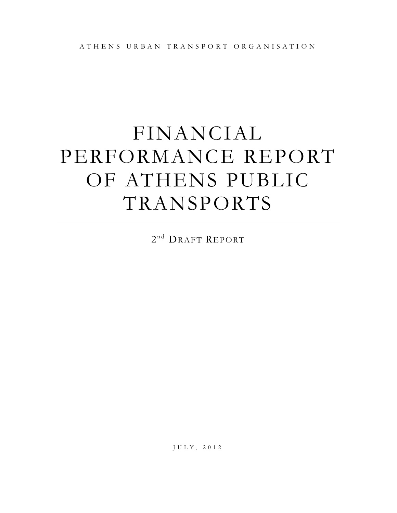# FINANCIAL PERFORMANCE REPORT OF ATHENS PUBLIC TRANSPORTS

2<sup>nd</sup> DRAFT REPORT

J U L Y , 2 0 1 2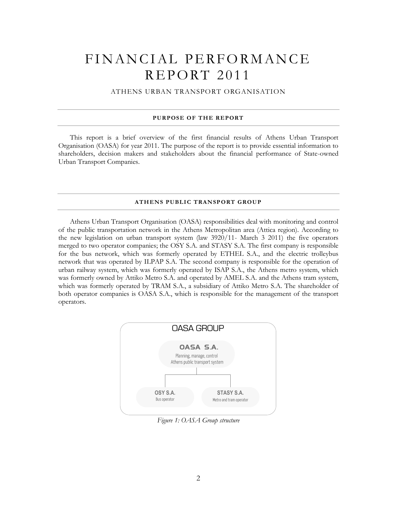# FINANCIAL PERFORMANCE **REPORT 2011**

ATHENS URBAN TRANSPORT ORGANISATION

#### **PURPOSE OF THE REPORT**

This report is a brief overview of the first financial results of Athens Urban Transport Organisation (OASA) for year 2011. The purpose of the report is to provide essential information to shareholders, decision makers and stakeholders about the financial performance of State-owned Urban Transport Companies.

#### **ATHENS PUBLIC TRANSPORT GROUP**

Athens Urban Transport Organisation (OASA) responsibilities deal with monitoring and control of the public transportation network in the Athens Metropolitan area (Attica region). According to the new legislation on urban transport system (law 3920/11- March 3 2011) the five operators merged to two operator companies; the OSY S.A. and STASY S.A. The first company is responsible for the bus network, which was formerly operated by ETHEL S.A., and the electric trolleybus network that was operated by ILPAP S.A. The second company is responsible for the operation of urban railway system, which was formerly operated by ISAP S.A., the Athens metro system, which was formerly owned by Attiko Metro S.A. and operated by AMEL S.A. and the Athens tram system, which was formerly operated by TRAM S.A., a subsidiary of Attiko Metro S.A. The shareholder of both operator companies is OASA S.A., which is responsible for the management of the transport operators.



*Figure 1: OASA Group structure*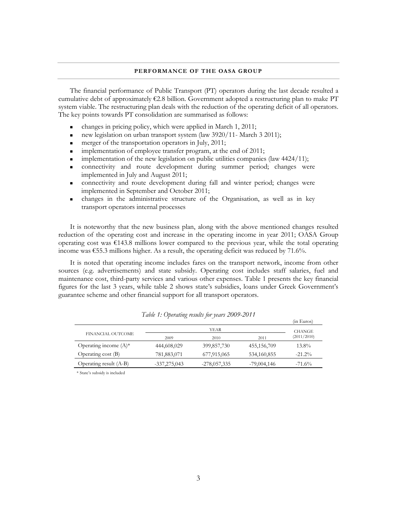#### **PERFORMANCE OF THE OASA GROUP**

The financial performance of Public Transport (PT) operators during the last decade resulted a cumulative debt of approximately  $\epsilon$ 2.8 billion. Government adopted a restructuring plan to make PT system viable. The restructuring plan deals with the reduction of the operating deficit of all operators. The key points towards PT consolidation are summarised as follows:

- changes in pricing policy, which were applied in March 1, 2011;
- new legislation on urban transport system (law 3920/11- March 3 2011);
- merger of the transportation operators in July, 2011;
- **implementation of employee transfer program, at the end of 2011;**
- implementation of the new legislation on public utilities companies (law 4424/11);
- connectivity and route development during summer period; changes were implemented in July and August 2011;
- connectivity and route development during fall and winter period; changes were implemented in September and October 2011;
- changes in the administrative structure of the Organisation, as well as in key transport operators internal processes

It is noteworthy that the new business plan, along with the above mentioned changes resulted reduction of the operating cost and increase in the operating income in year 2011; OASA Group operating cost was €143.8 millions lower compared to the previous year, while the total operating income was  $\epsilon$ 55.3 millions higher. As a result, the operating deficit was reduced by 71.6%.

It is noted that operating income includes fares on the transport network, income from other sources (e.g. advertisements) and state subsidy. Operating cost includes staff salaries, fuel and maintenance cost, third-party services and various other expenses. Table 1 presents the key financial figures for the last 3 years, while table 2 shows state's subsidies, loans under Greek Government's guarantee scheme and other financial support for all transport operators.

|                          |              |                |               | (in Euros)  |
|--------------------------|--------------|----------------|---------------|-------------|
|                          |              | <b>CHANGE</b>  |               |             |
| FINANCIAL OUTCOME        | 2009         | 2010           | 2011          | (2011/2010) |
| Operating income $(A)^*$ | 444,608,029  | 399,857,730    | 455,156,709   | 13.8%       |
| Operating cost (B)       | 781,883,071  | 677,915,065    | 534,160,855   | $-21.2%$    |
| Operating result (A-B)   | -337,275,043 | $-278,057,335$ | $-79,004,146$ | $-71.6%$    |

*Table 1: Operating results for years 2009-2011*

\* State's subsidy is included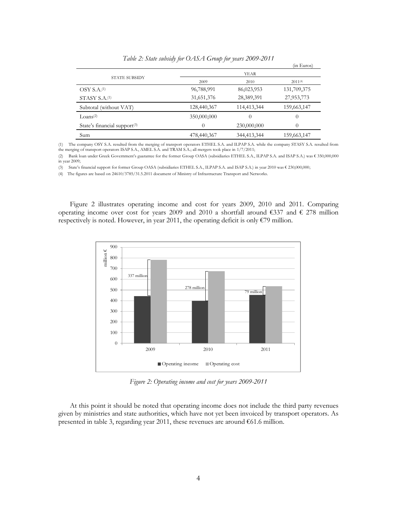|                                          |             |             | (in Euros)  |
|------------------------------------------|-------------|-------------|-------------|
|                                          |             | <b>YEAR</b> |             |
| <b>STATE SUBSIDY</b>                     | 2009        | 2010        | 2011(4)     |
| OSY S.A. <sub>(1)</sub>                  | 96,788,991  | 86,023,953  | 131,709,375 |
| STASY S.A. <sup>(1)</sup>                | 31,651,376  | 28,389,391  | 27,953,773  |
| Subtotal (without VAT)                   | 128,440,367 | 114,413,344 | 159,663,147 |
| Loans <sup>(2)</sup>                     | 350,000,000 | 0           | $\theta$    |
| State's financial support <sup>(3)</sup> | $\Omega$    | 230,000,000 | $\Omega$    |
| Sum                                      | 478,440,367 | 344,413,344 | 159,663,147 |

*Table 2: State subsidy for OASA Group for years 2009-2011*

(1) The company OSY S.A. resulted from the merging of transport operators ETHEL S.A. and ILPAP S.A. while the company STASY S.A. resulted from the merging of transport operators ISAP S.A., AMEL S.A. and TRAM S.A.; all mergers took place in 1/7/2011;

(2) Bank loan under Greek Government's guarantee for the former Group OASA (subsidiaries ETHEL S.A., ILPAP S.A. and ISAP S.A.) was € 350,000,000 in year 2009;

(3) State's financial support for former Group OASA (subsidiaries ETHEL S.A., ILPAP S.A. and ISAP S.A.) in year 2010 was € 230,000,000;

(4) The figures are based on 24610/3785/31.5.2011 document of Ministry of Infrastructure Transport and Networks.

Figure 2 illustrates operating income and cost for years 2009, 2010 and 2011. Comparing operating income over cost for years 2009 and 2010 a shortfall around  $\epsilon$ 337 and  $\epsilon$  278 million respectively is noted. However, in year 2011, the operating deficit is only €79 million.



*Figure 2: Operating income and cost for years 2009-2011*

At this point it should be noted that operating income does not include the third party revenues given by ministries and state authorities, which have not yet been invoiced by transport operators. As presented in table 3, regarding year 2011, these revenues are around  $\epsilon$ 61.6 million.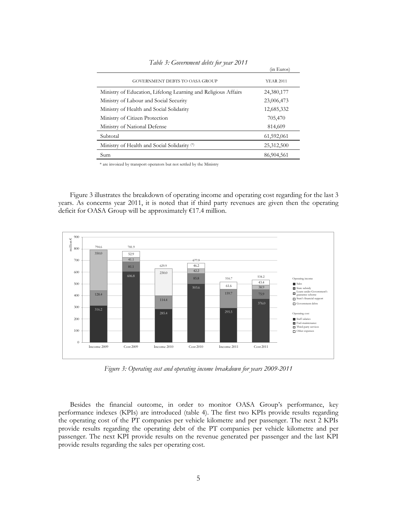|                                                                | (in Euros)       |
|----------------------------------------------------------------|------------------|
| <b>GOVERNMENT DEBTS TO OASA GROUP</b>                          | <b>YEAR 2011</b> |
| Ministry of Education, Lifelong Learning and Religious Affairs | 24,380,177       |
| Ministry of Labour and Social Security                         | 23,006,473       |
| Ministry of Health and Social Solidarity                       | 12,685,332       |
| Ministry of Citizen Protection                                 | 705,470          |
| Ministry of National Defense                                   | 814,609          |
| Subtotal                                                       | 61,592,061       |
| Ministry of Health and Social Solidarity (*)                   | 25,312,500       |
| Sum                                                            | 86,904,561       |

*Table 3: Government debts for year 2011*

 $\mathcal{L}$  in

\* are invoiced by transport operators but not settled by the Ministry

Figure 3 illustrates the breakdown of operating income and operating cost regarding for the last 3 years. As concerns year 2011, it is noted that if third party revenues are given then the operating deficit for OASA Group will be approximately €17.4 million.



*Figure 3: Operating cost and operating income breakdown for years 2009-2011*

Besides the financial outcome, in order to monitor OASA Group's performance, key performance indexes (KPIs) are introduced (table 4). The first two KPIs provide results regarding the operating cost of the PT companies per vehicle kilometre and per passenger. The next 2 KPIs provide results regarding the operating debt of the PT companies per vehicle kilometre and per passenger. The next KPI provide results on the revenue generated per passenger and the last KPI provide results regarding the sales per operating cost.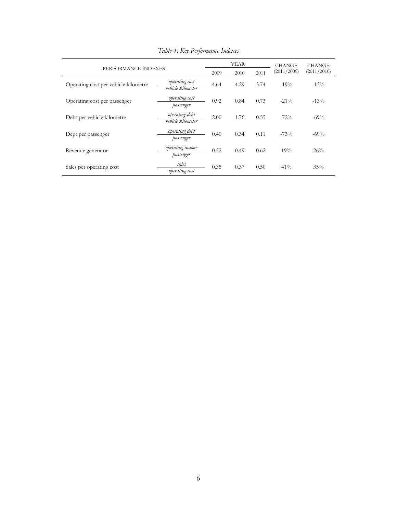| PERFORMANCE INDEXES                  |                                            | <b>YEAR</b> |      |      | <b>CHANGE</b> | <b>CHANGE</b> |
|--------------------------------------|--------------------------------------------|-------------|------|------|---------------|---------------|
|                                      |                                            | 2009        | 2010 | 2011 | (2011/2009)   | (2011/2010)   |
| Operating cost per vehicle kilometre | <i>operating cost</i><br>vehicle kilometer | 4.64        | 4.29 | 3.74 | $-19%$        | $-13%$        |
| Operating cost per passenger         | operating cost<br>passenger                | 0.92        | 0.84 | 0.73 | $-21\%$       | $-13%$        |
| Debt per vehicle kilometre           | operating debt<br>vehicle kilometer        | 2.00        | 1.76 | 0.55 | $-72%$        | $-69%$        |
| Dept per passenger                   | operating debt<br>passenger                | 0.40        | 0.34 | 0.11 | $-73%$        | $-69%$        |
| Revenue generator                    | operating income<br>passenger              | 0.52        | 0.49 | 0.62 | 19%           | 26%           |
| Sales per operating cost             | sales<br>operating cost                    | 0.35        | 0.37 | 0.50 | 41%           | 35%           |

*Table 4: Key Performance Indexes*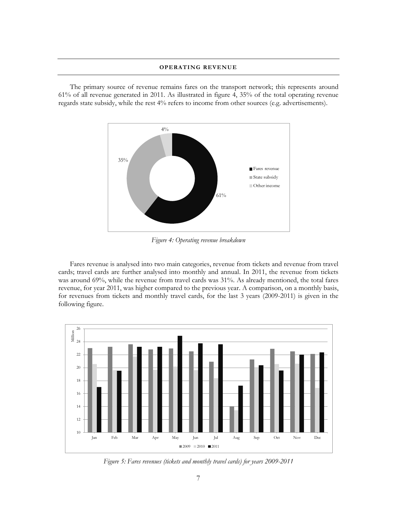#### **OPERATING REVENUE**

The primary source of revenue remains fares on the transport network; this represents around 61% of all revenue generated in 2011. As illustrated in figure 4, 35% of the total operating revenue regards state subsidy, while the rest 4% refers to income from other sources (e.g. advertisements).



*Figure 4: Operating revenue breakdown*

Fares revenue is analysed into two main categories, revenue from tickets and revenue from travel cards; travel cards are further analysed into monthly and annual. In 2011, the revenue from tickets was around 69%, while the revenue from travel cards was 31%. As already mentioned, the total fares revenue, for year 2011, was higher compared to the previous year. A comparison, on a monthly basis, for revenues from tickets and monthly travel cards, for the last 3 years (2009-2011) is given in the following figure.



*Figure 5: Fares revenues (tickets and monthly travel cards) for years 2009-2011*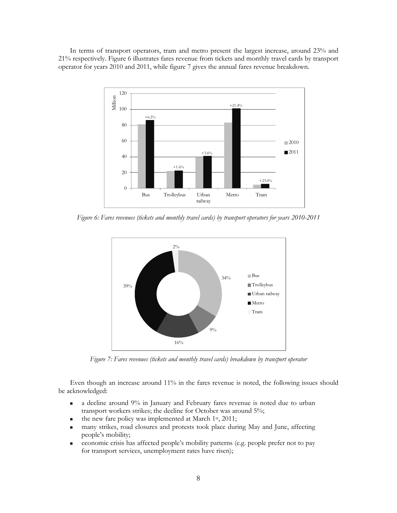In terms of transport operators, tram and metro present the largest increase, around 23% and 21% respectively. Figure 6 illustrates fares revenue from tickets and monthly travel cards by transport operator for years 2010 and 2011, while figure 7 gives the annual fares revenue breakdown.



*Figure 6: Fares revenues (tickets and monthly travel cards) by transport operators for years 2010-2011*



*Figure 7: Fares revenues (tickets and monthly travel cards) breakdown by transport operator*

Even though an increase around 11% in the fares revenue is noted, the following issues should be acknowledged:

- a decline around 9% in January and February fares revenue is noted due to urban transport workers strikes; the decline for October was around 5%;
- the new fare policy was implemented at March 1st, 2011;
- many strikes, road closures and protests took place during May and June, affecting people's mobility;
- economic crisis has affected people's mobility patterns (e.g. people prefer not to pay for transport services, unemployment rates have risen);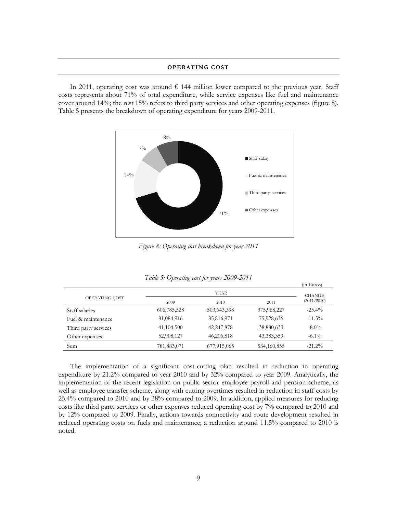#### **OPERATING COST**

In 2011, operating cost was around  $\epsilon$  144 million lower compared to the previous year. Staff costs represents about 71% of total expenditure, while service expenses like fuel and maintenance cover around 14%; the rest 15% refers to third party services and other operating expenses (figure 8). Table 5 presents the breakdown of operating expenditure for years 2009-2011.



*Figure 8: Operating cost breakdown for year 2011*

|                      | $\cdots$     |             |             | (in Euros)    |
|----------------------|--------------|-------------|-------------|---------------|
|                      |              | YEAR        |             | <b>CHANGE</b> |
| OPERATING COST       | 2009         | 2010        | 2011        | (2011/2010)   |
| Staff salaries       | 606,785,528  | 503,643,398 | 375,968,227 | $-25.4\%$     |
| Fuel & maintenance   | 81,084,916   | 85,816,971  | 75,928,636  | $-11.5\%$     |
| Third party services | 41, 104, 500 | 42,247,878  | 38,880,633  | $-8.0\%$      |
| Other expenses       | 52,908,127   | 46,206,818  | 43,383,359  | $-6.1\%$      |
| Sum                  | 781,883,071  | 677,915,065 | 534,160,855 | $-21.2%$      |

| Table 5: Operating cost for years 2009-2011 |  |  |  |  |  |
|---------------------------------------------|--|--|--|--|--|
|---------------------------------------------|--|--|--|--|--|

The implementation of a significant cost-cutting plan resulted in reduction in operating expenditure by 21.2% compared to year 2010 and by 32% compared to year 2009. Analytically, the implementation of the recent legislation on public sector employee payroll and pension scheme, as well as employee transfer scheme, along with cutting overtimes resulted in reduction in staff costs by 25.4% compared to 2010 and by 38% compared to 2009. In addition, applied measures for reducing costs like third party services or other expenses reduced operating cost by 7% compared to 2010 and by 12% compared to 2009. Finally, actions towards connectivity and route development resulted in reduced operating costs on fuels and maintenance; a reduction around 11.5% compared to 2010 is noted.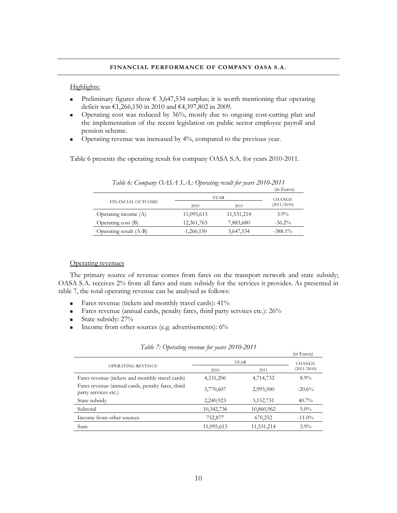#### **FINANCIAL PERFORMANCE OF COMPANY OASA S.A.**

#### Highlights:

- Preliminary figures show  $\epsilon$  3,647,534 surplus; it is worth mentioning that operating deficit was €1,266,150 in 2010 and €4,397,802 in 2009.
- Operating cost was reduced by 36%, mostly due to ongoing cost-cutting plan and the implementation of the recent legislation on public sector employee payroll and pension scheme.
- **•** Operating revenue was increased by 4%, compared to the previous year.

Table 6 presents the operating result for company OASA S.A. for years 2010-2011.

|                        |              |               | (in Euros)  |
|------------------------|--------------|---------------|-------------|
| FINANCIAL OUTCOME      | YEAR         | <b>CHANGE</b> |             |
|                        | 2010         | 2011          | (2011/2010) |
| Operating income (A)   | 11,095,613   | 11,531,214    | $3.9\%$     |
| Operating cost (B)     | 12,361,763   | 7,883,680     | $-36.2\%$   |
| Operating result (A-B) | $-1,266,150$ | 3,647,534     | $-388.1\%$  |

*Table 6: Company OASA S.A.: Operating result for years 2010-2011*

#### Operating revenues

The primary source of revenue comes from fares on the transport network and state subsidy; OASA S.A. receives 2% from all fares and state subsidy for the services it provides. As presented in table 7, the total operating revenue can be analysed as follows:

- Fares revenue (tickets and monthly travel cards):  $41\%$
- Fares revenue (annual cards, penalty fares, third party services etc.): 26%
- State subsidy:  $27\%$
- Income from other sources (e.g. advertisements):  $6\%$

|            |               | ردن عبد عبد ا |
|------------|---------------|---------------|
|            | <b>CHANGE</b> |               |
| 2010       | 2011          | (2011/2010)   |
| 4,331,206  | 4,714,732     | $8.9\%$       |
| 3,770,607  | 2,993,500     | $-20.6%$      |
| 2,240,923  | 3,152,731     | $40.7\%$      |
| 10,342,736 | 10,860,962    | $5.0\%$       |
| 752,877    | 670,252       | $-11.0\%$     |
| 11,095,613 | 11,531,214    | $3.9\%$       |
|            |               | <b>YEAR</b>   |

*Table 7: Operating revenue for years 2010-2011*

(in Euros)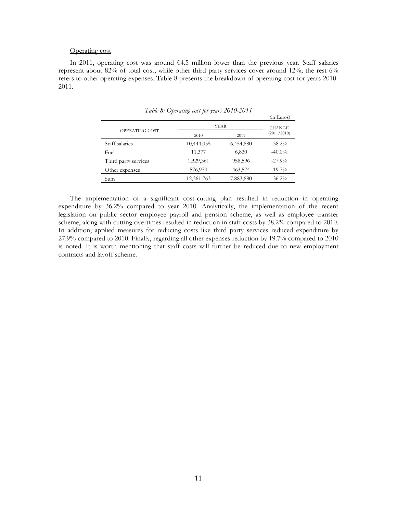#### Operating cost

In 2011, operating cost was around €4.5 million lower than the previous year. Staff salaries represent about 82% of total cost, while other third party services cover around 12%; the rest 6% refers to other operating expenses. Table 8 presents the breakdown of operating cost for years 2010- 2011.

|                      |            |             | (in Euros)    |
|----------------------|------------|-------------|---------------|
|                      |            | <b>YEAR</b> | <b>CHANGE</b> |
| OPERATING COST       | 2010       | 2011        | (2011/2010)   |
| Staff salaries       | 10,444,055 | 6,454,680   | $-38.2\%$     |
| Fuel                 | 11,377     | 6,830       | $-40.0\%$     |
| Third party services | 1,329,361  | 958,596     | $-27.9\%$     |
| Other expenses       | 576,970    | 463,574     | $-19.7\%$     |
| Sum                  | 12,361,763 | 7,883,680   | $-36.2\%$     |

*Table 8: Operating cost for years 2010-2011*

The implementation of a significant cost-cutting plan resulted in reduction in operating expenditure by 36.2% compared to year 2010. Analytically, the implementation of the recent legislation on public sector employee payroll and pension scheme, as well as employee transfer scheme, along with cutting overtimes resulted in reduction in staff costs by 38.2% compared to 2010. In addition, applied measures for reducing costs like third party services reduced expenditure by 27.9% compared to 2010. Finally, regarding all other expenses reduction by 19.7% compared to 2010 is noted. It is worth mentioning that staff costs will further be reduced due to new employment contracts and layoff scheme.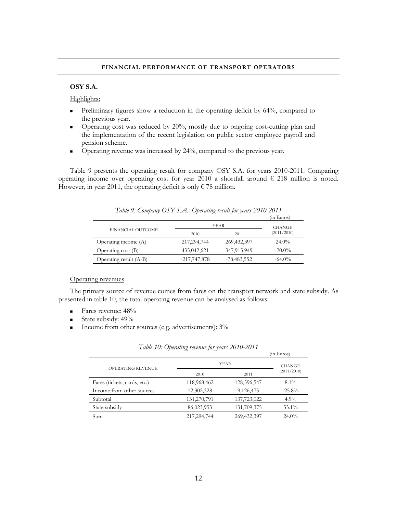#### **FINANCIAL PERFORMANCE OF TRANSPORT OPERATORS**

# **OSY S.A.**

#### Highlights:

- Preliminary figures show a reduction in the operating deficit by 64%, compared to the previous year.
- Operating cost was reduced by 20%, mostly due to ongoing cost-cutting plan and the implementation of the recent legislation on public sector employee payroll and pension scheme.
- Operating revenue was increased by 24%, compared to the previous year.

Table 9 presents the operating result for company OSY S.A. for years 2010-2011. Comparing operating income over operating cost for year 2010 a shortfall around  $\epsilon$  218 million is noted. However, in year 2011, the operating deficit is only  $\epsilon$  78 million.

|                        |                |               | (in Euros)    |
|------------------------|----------------|---------------|---------------|
|                        |                | YEAR          | <b>CHANGE</b> |
| FINANCIAL OUTCOME      | 2010           | 2011          | (2011/2010)   |
| Operating income (A)   | 217, 294, 744  | 269,432,397   | $24.0\%$      |
| Operating cost $(B)$   | 435,042,621    | 347,915,949   | $-20.0\%$     |
| Operating result (A-B) | $-217,747,878$ | $-78,483,552$ | $-64.0\%$     |

*Table 9: Company OSY S.A.: Operating result for years 2010-2011*

#### Operating revenues

The primary source of revenue comes from fares on the transport network and state subsidy. As presented in table 10, the total operating revenue can be analysed as follows:

- $\blacksquare$  Fares revenue: 48%
- State subsidy:  $49\%$
- Income from other sources (e.g. advertisements):  $3\%$

|                              |             |             | (in Euros)    |
|------------------------------|-------------|-------------|---------------|
| <b>OPERATING REVENUE</b>     |             | YEAR        | <b>CHANGE</b> |
|                              | 2010        | 2011        | (2011/2010)   |
| Fares (tickets, cards, etc.) | 118,968,462 | 128,596,547 | $8.1\%$       |
| Income from other sources    | 12,302,328  | 9,126,475   | $-25.8%$      |
| Subtotal                     | 131,270,791 | 137,723,022 | 4.9%          |
| State subsidy                | 86,023,953  | 131,709,375 | $53.1\%$      |
| Sum                          | 217,294,744 | 269,432,397 | $24.0\%$      |
|                              |             |             |               |

*Table 10: Operating revenue for years 2010-2011*

 $\mathcal{C}$ in Euros)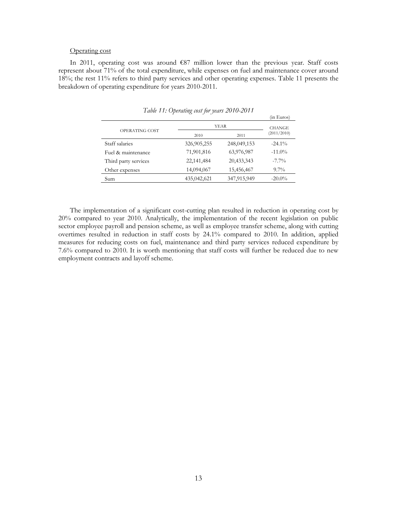#### Operating cost

In 2011, operating cost was around  $\epsilon$ 87 million lower than the previous year. Staff costs represent about 71% of the total expenditure, while expenses on fuel and maintenance cover around 18%; the rest 11% refers to third party services and other operating expenses. Table 11 presents the breakdown of operating expenditure for years 2010-2011.

|                      |              |             | (in Euros)    |
|----------------------|--------------|-------------|---------------|
|                      |              | <b>YEAR</b> | <b>CHANGE</b> |
| OPERATING COST       | 2010         | 2011        | (2011/2010)   |
| Staff salaries       | 326,905,255  | 248,049,153 | $-24.1\%$     |
| Fuel & maintenance   | 71,901,816   | 63,976,987  | $-11.0\%$     |
| Third party services | 22, 141, 484 | 20,433,343  | $-7.7\%$      |
| Other expenses       | 14,094,067   | 15,456,467  | $9.7\%$       |
| Sum                  | 435,042,621  | 347,915,949 | $-20.0\%$     |

*Table 11: Operating cost for years 2010-2011*

The implementation of a significant cost-cutting plan resulted in reduction in operating cost by 20% compared to year 2010. Analytically, the implementation of the recent legislation on public sector employee payroll and pension scheme, as well as employee transfer scheme, along with cutting overtimes resulted in reduction in staff costs by 24.1% compared to 2010. In addition, applied measures for reducing costs on fuel, maintenance and third party services reduced expenditure by 7.6% compared to 2010. It is worth mentioning that staff costs will further be reduced due to new employment contracts and layoff scheme.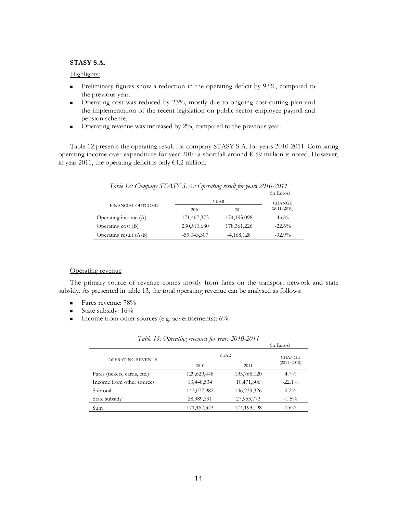# **STASY S.A.**

# Highlights:

- Preliminary figures show a reduction in the operating deficit by 93%, compared to the previous year.
- Operating cost was reduced by 23%, mostly due to ongoing cost-cutting plan and the implementation of the recent legislation on public sector employee payroll and pension scheme.
- Operating revenue was increased by 2%, compared to the previous year.

Table 12 presents the operating result for company STASY S.A. for years 2010-2011. Comparing operating income over expenditure for year 2010 a shortfall around  $\epsilon$  59 million is noted. However, in year 2011, the operating deficit is only €4.2 million.

|                        |               |               | (in Euros)    |
|------------------------|---------------|---------------|---------------|
| FINANCIAL OUTCOME      | YEAR          |               | <b>CHANGE</b> |
|                        | 2010          | 2011          | (2011/2010)   |
| Operating income (A)   | 171,467,373   | 174,193,098   | $1.6\%$       |
| Operating cost (B)     | 230,510,680   | 178, 361, 226 | $-22.6%$      |
| Operating result (A-B) | $-59,043,307$ | $-4,168,128$  | $-92.9\%$     |

| Table 12: Company STASY S.A.: Operating result for years 2010-2011 |  |  |
|--------------------------------------------------------------------|--|--|
|                                                                    |  |  |

### Operating revenue

The primary source of revenue comes mostly from fares on the transport network and state subsidy. As presented in table 13, the total operating revenue can be analysed as follows:

- Fares revenue: 78%
- State subsidy:  $16\%$
- Income from other sources (e.g. advertisements):  $6\%$

|             |             | (in Euros)    |
|-------------|-------------|---------------|
| <b>YEAR</b> |             | <b>CHANGE</b> |
| 2010        | 2011        | (2011/2010)   |
| 129,629,448 | 135,768,020 | $4.7\%$       |
| 13,448,534  | 10,471,306  | $-22.1\%$     |
| 143,077,982 | 146,239,326 | $2.2\%$       |
| 28,389,391  | 27,953,773  | $-1.5\%$      |
| 171,467,373 | 174,193,098 | $1.6\%$       |
|             |             |               |

*Table 13: Operating revenues for years 2010-2011*